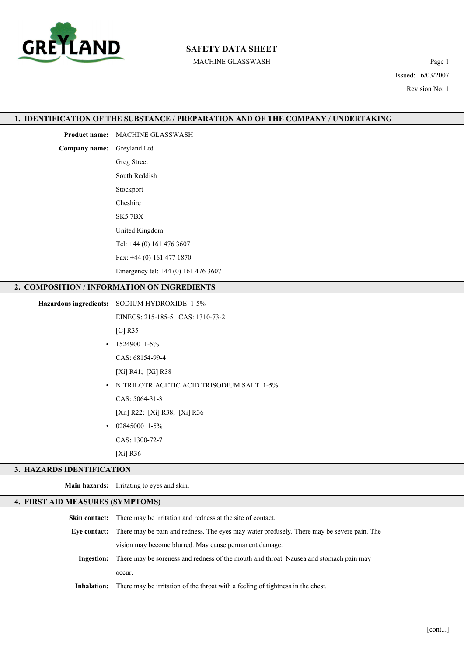

# SAFETY DATA SHEET

MACHINE GLASSWASH Page 1

Issued: 16/03/2007 Revision No: 1

|                                  | 1. IDENTIFICATION OF THE SUBSTANCE / PREPARATION AND OF THE COMPANY / UNDERTAKING |  |  |  |
|----------------------------------|-----------------------------------------------------------------------------------|--|--|--|
|                                  | Product name: MACHINE GLASSWASH                                                   |  |  |  |
| Company name: Greyland Ltd       |                                                                                   |  |  |  |
|                                  | <b>Greg Street</b>                                                                |  |  |  |
|                                  | South Reddish                                                                     |  |  |  |
|                                  | Stockport                                                                         |  |  |  |
|                                  | Cheshire                                                                          |  |  |  |
|                                  | SK57BX                                                                            |  |  |  |
|                                  | United Kingdom                                                                    |  |  |  |
|                                  | Tel: +44 (0) 161 476 3607                                                         |  |  |  |
|                                  | Fax: +44 (0) 161 477 1870                                                         |  |  |  |
|                                  | Emergency tel: +44 (0) 161 476 3607                                               |  |  |  |
|                                  | 2. COMPOSITION / INFORMATION ON INGREDIENTS                                       |  |  |  |
|                                  | Hazardous ingredients: SODIUM HYDROXIDE 1-5%                                      |  |  |  |
|                                  | EINECS: 215-185-5 CAS: 1310-73-2                                                  |  |  |  |
|                                  | $[C]$ R35                                                                         |  |  |  |
| $\bullet$                        | 1524900 1-5%                                                                      |  |  |  |
|                                  | CAS: 68154-99-4                                                                   |  |  |  |
|                                  | $[Xi]$ R41; $[Xi]$ R38                                                            |  |  |  |
| $\bullet$                        | NITRILOTRIACETIC ACID TRISODIUM SALT 1-5%                                         |  |  |  |
|                                  | CAS: 5064-31-3                                                                    |  |  |  |
|                                  | [Xn] R22; [Xi] R38; [Xi] R36                                                      |  |  |  |
|                                  | 02845000 1-5%                                                                     |  |  |  |
|                                  | CAS: 1300-72-7                                                                    |  |  |  |
|                                  | [ $Xi$ ] R36                                                                      |  |  |  |
| 3. HAZARDS IDENTIFICATION        |                                                                                   |  |  |  |
|                                  | Main hazards: Irritating to eyes and skin.                                        |  |  |  |
| 4. FIRST AID MEASURES (SYMPTOMS) |                                                                                   |  |  |  |
|                                  | $\sim$                                                                            |  |  |  |

| <b>Skin contact:</b> There may be irritation and redness at the site of contact.                         |  |  |
|----------------------------------------------------------------------------------------------------------|--|--|
| Eye contact: There may be pain and redness. The eyes may water profusely. There may be severe pain. The  |  |  |
| vision may become blurred. May cause permanent damage.                                                   |  |  |
| <b>Ingestion:</b> There may be soreness and redness of the mouth and throat. Nausea and stomach pain may |  |  |
| occur.                                                                                                   |  |  |
| <b>Inhalation:</b> There may be irritation of the throat with a feeling of tightness in the chest.       |  |  |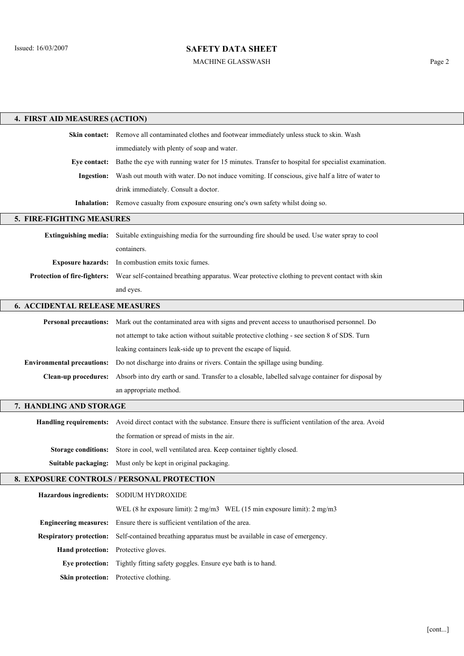#### MACHINE GLASSWASH Page 2

| 4. FIRST AID MEASURES (ACTION)             |                                                                                                                           |  |  |  |  |
|--------------------------------------------|---------------------------------------------------------------------------------------------------------------------------|--|--|--|--|
|                                            | Skin contact: Remove all contaminated clothes and footwear immediately unless stuck to skin. Wash                         |  |  |  |  |
|                                            | immediately with plenty of soap and water.                                                                                |  |  |  |  |
| Eye contact:                               | Bathe the eye with running water for 15 minutes. Transfer to hospital for specialist examination.                         |  |  |  |  |
| <b>Ingestion:</b>                          | Wash out mouth with water. Do not induce vomiting. If conscious, give half a litre of water to                            |  |  |  |  |
|                                            | drink immediately. Consult a doctor.                                                                                      |  |  |  |  |
| <b>Inhalation:</b>                         | Remove casualty from exposure ensuring one's own safety whilst doing so.                                                  |  |  |  |  |
| 5. FIRE-FIGHTING MEASURES                  |                                                                                                                           |  |  |  |  |
| <b>Extinguishing media:</b>                | Suitable extinguishing media for the surrounding fire should be used. Use water spray to cool                             |  |  |  |  |
|                                            | containers.                                                                                                               |  |  |  |  |
|                                            | Exposure hazards: In combustion emits toxic fumes.                                                                        |  |  |  |  |
| <b>Protection of fire-fighters:</b>        | Wear self-contained breathing apparatus. Wear protective clothing to prevent contact with skin                            |  |  |  |  |
|                                            | and eyes.                                                                                                                 |  |  |  |  |
| <b>6. ACCIDENTAL RELEASE MEASURES</b>      |                                                                                                                           |  |  |  |  |
|                                            | Personal precautions: Mark out the contaminated area with signs and prevent access to unauthorised personnel. Do          |  |  |  |  |
|                                            | not attempt to take action without suitable protective clothing - see section 8 of SDS. Turn                              |  |  |  |  |
|                                            | leaking containers leak-side up to prevent the escape of liquid.                                                          |  |  |  |  |
| <b>Environmental precautions:</b>          | Do not discharge into drains or rivers. Contain the spillage using bunding.                                               |  |  |  |  |
| <b>Clean-up procedures:</b>                | Absorb into dry earth or sand. Transfer to a closable, labelled salvage container for disposal by                         |  |  |  |  |
|                                            | an appropriate method.                                                                                                    |  |  |  |  |
| 7. HANDLING AND STORAGE                    |                                                                                                                           |  |  |  |  |
|                                            | Handling requirements: Avoid direct contact with the substance. Ensure there is sufficient ventilation of the area. Avoid |  |  |  |  |
|                                            | the formation or spread of mists in the air.                                                                              |  |  |  |  |
|                                            | Storage conditions: Store in cool, well ventilated area. Keep container tightly closed.                                   |  |  |  |  |
|                                            | <b>Suitable packaging:</b> Must only be kept in original packaging.                                                       |  |  |  |  |
| 8. EXPOSURE CONTROLS / PERSONAL PROTECTION |                                                                                                                           |  |  |  |  |
|                                            | Hazardous ingredients: SODIUM HYDROXIDE                                                                                   |  |  |  |  |
|                                            | WEL (8 hr exposure limit): 2 mg/m3 WEL (15 min exposure limit): 2 mg/m3                                                   |  |  |  |  |
| <b>Engineering measures:</b>               | Ensure there is sufficient ventilation of the area.                                                                       |  |  |  |  |
| <b>Respiratory protection:</b>             | Self-contained breathing apparatus must be available in case of emergency.                                                |  |  |  |  |
| <b>Hand protection:</b>                    | Protective gloves.                                                                                                        |  |  |  |  |
| Eye protection:                            | Tightly fitting safety goggles. Ensure eye bath is to hand.                                                               |  |  |  |  |
|                                            | Skin protection: Protective clothing.                                                                                     |  |  |  |  |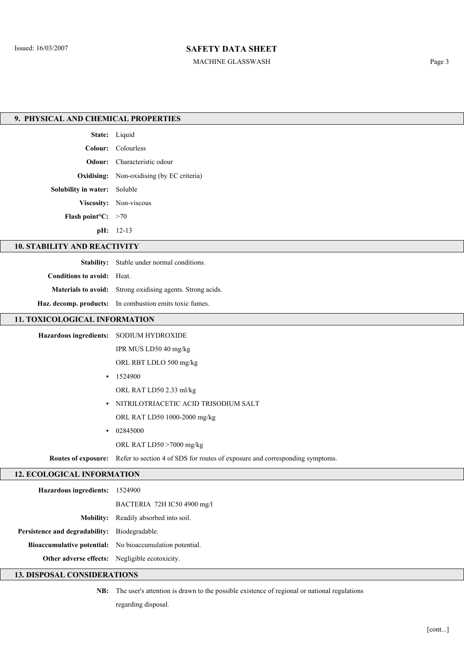#### MACHINE GLASSWASH Page 3

| 9. PHYSICAL AND CHEMICAL PROPERTIES            |                                                                                                  |  |  |  |  |  |
|------------------------------------------------|--------------------------------------------------------------------------------------------------|--|--|--|--|--|
|                                                | State: Liquid                                                                                    |  |  |  |  |  |
|                                                | Colour: Colourless                                                                               |  |  |  |  |  |
|                                                | Odour: Characteristic odour                                                                      |  |  |  |  |  |
| Oxidising:                                     | Non-oxidising (by EC criteria)                                                                   |  |  |  |  |  |
| Solubility in water: Soluble                   |                                                                                                  |  |  |  |  |  |
|                                                | Viscosity: Non-viscous                                                                           |  |  |  |  |  |
| <b>Flash point<sup>o</sup>C:</b> $>70$         |                                                                                                  |  |  |  |  |  |
|                                                | pH: 12-13                                                                                        |  |  |  |  |  |
| <b>10. STABILITY AND REACTIVITY</b>            |                                                                                                  |  |  |  |  |  |
|                                                | Stability: Stable under normal conditions.                                                       |  |  |  |  |  |
| <b>Conditions to avoid:</b>                    | Heat.                                                                                            |  |  |  |  |  |
|                                                | Materials to avoid: Strong oxidising agents. Strong acids.                                       |  |  |  |  |  |
|                                                | Haz. decomp. products: In combustion emits toxic fumes.                                          |  |  |  |  |  |
| 11. TOXICOLOGICAL INFORMATION                  |                                                                                                  |  |  |  |  |  |
|                                                | Hazardous ingredients: SODIUM HYDROXIDE                                                          |  |  |  |  |  |
|                                                | IPR MUS LD50 40 mg/kg                                                                            |  |  |  |  |  |
|                                                | ORL RBT LDLO 500 mg/kg                                                                           |  |  |  |  |  |
| $\bullet$                                      | 1524900                                                                                          |  |  |  |  |  |
|                                                | ORL RAT LD50 2.33 ml/kg                                                                          |  |  |  |  |  |
| $\bullet$                                      | NITRILOTRIACETIC ACID TRISODIUM SALT                                                             |  |  |  |  |  |
|                                                | ORL RAT LD50 1000-2000 mg/kg                                                                     |  |  |  |  |  |
| $\bullet$                                      | 02845000                                                                                         |  |  |  |  |  |
|                                                | ORL RAT LD50 >7000 mg/kg                                                                         |  |  |  |  |  |
|                                                | Routes of exposure: Refer to section 4 of SDS for routes of exposure and corresponding symptoms. |  |  |  |  |  |
| <b>12. ECOLOGICAL INFORMATION</b>              |                                                                                                  |  |  |  |  |  |
| Hazardous ingredients: 1524900                 |                                                                                                  |  |  |  |  |  |
|                                                | BACTERIA 72H IC50 4900 mg/l                                                                      |  |  |  |  |  |
| <b>Mobility:</b>                               | Readily absorbed into soil.                                                                      |  |  |  |  |  |
| Persistence and degradability:                 | Biodegradable.                                                                                   |  |  |  |  |  |
| <b>Bioaccumulative potential:</b>              | No bioaccumulation potential.                                                                    |  |  |  |  |  |
| Other adverse effects: Negligible ecotoxicity. |                                                                                                  |  |  |  |  |  |
| <b>13. DISPOSAL CONSIDERATIONS</b>             |                                                                                                  |  |  |  |  |  |

NB: The user's attention is drawn to the possible existence of regional or national regulations

regarding disposal.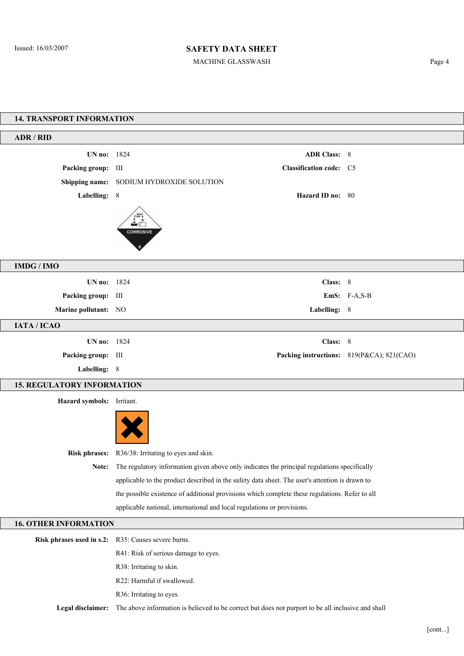MACHINE GLASSWASH Page 4

| <b>14. TRANSPORT INFORMATION</b>  |                                                                                                |                                |                                           |  |  |  |  |
|-----------------------------------|------------------------------------------------------------------------------------------------|--------------------------------|-------------------------------------------|--|--|--|--|
| <b>ADR / RID</b>                  |                                                                                                |                                |                                           |  |  |  |  |
| UN no: 1824                       |                                                                                                | <b>ADR Class: 8</b>            |                                           |  |  |  |  |
| Packing group: III                |                                                                                                | <b>Classification code:</b> C5 |                                           |  |  |  |  |
|                                   | Shipping name: SODIUM HYDROXIDE SOLUTION                                                       |                                |                                           |  |  |  |  |
| Labelling: 8                      |                                                                                                | Hazard ID no: 80               |                                           |  |  |  |  |
|                                   |                                                                                                |                                |                                           |  |  |  |  |
|                                   |                                                                                                |                                |                                           |  |  |  |  |
|                                   | <b>CORROSIVE</b>                                                                               |                                |                                           |  |  |  |  |
|                                   |                                                                                                |                                |                                           |  |  |  |  |
| <b>IMDG/IMO</b>                   |                                                                                                |                                |                                           |  |  |  |  |
|                                   |                                                                                                |                                |                                           |  |  |  |  |
| UN no: 1824                       |                                                                                                | Class: 8                       |                                           |  |  |  |  |
| Packing group: III                |                                                                                                |                                | EmS: F-A,S-B                              |  |  |  |  |
| Marine pollutant: NO              |                                                                                                | Labelling: 8                   |                                           |  |  |  |  |
| IATA / ICAO                       |                                                                                                |                                |                                           |  |  |  |  |
| UN no: 1824                       |                                                                                                | Class: 8                       |                                           |  |  |  |  |
| Packing group: III                |                                                                                                |                                | Packing instructions: 819(P&CA); 821(CAO) |  |  |  |  |
| Labelling: 8                      |                                                                                                |                                |                                           |  |  |  |  |
| <b>15. REGULATORY INFORMATION</b> |                                                                                                |                                |                                           |  |  |  |  |
| Hazard symbols: Irritant.         |                                                                                                |                                |                                           |  |  |  |  |
|                                   |                                                                                                |                                |                                           |  |  |  |  |
|                                   |                                                                                                |                                |                                           |  |  |  |  |
|                                   |                                                                                                |                                |                                           |  |  |  |  |
|                                   | Risk phrases: R36/38: Irritating to eyes and skin.                                             |                                |                                           |  |  |  |  |
| Note:                             | The regulatory information given above only indicates the principal regulations specifically   |                                |                                           |  |  |  |  |
|                                   | applicable to the product described in the safety data sheet. The user's attention is drawn to |                                |                                           |  |  |  |  |
|                                   | the possible existence of additional provisions which complete these regulations. Refer to all |                                |                                           |  |  |  |  |
|                                   | applicable national, international and local regulations or provisions.                        |                                |                                           |  |  |  |  |
| <b>16. OTHER INFORMATION</b>      |                                                                                                |                                |                                           |  |  |  |  |
| Risk phrases used in s.2:         | R35: Causes severe burns.                                                                      |                                |                                           |  |  |  |  |
|                                   | R41: Risk of serious damage to eyes.                                                           |                                |                                           |  |  |  |  |
|                                   | R38: Irritating to skin.                                                                       |                                |                                           |  |  |  |  |
|                                   | R22: Harmful if swallowed.                                                                     |                                |                                           |  |  |  |  |
|                                   | R36: Irritating to eyes.                                                                       |                                |                                           |  |  |  |  |

Legal disclaimer: The above information is believed to be correct but does not purport to be all inclusive and shall